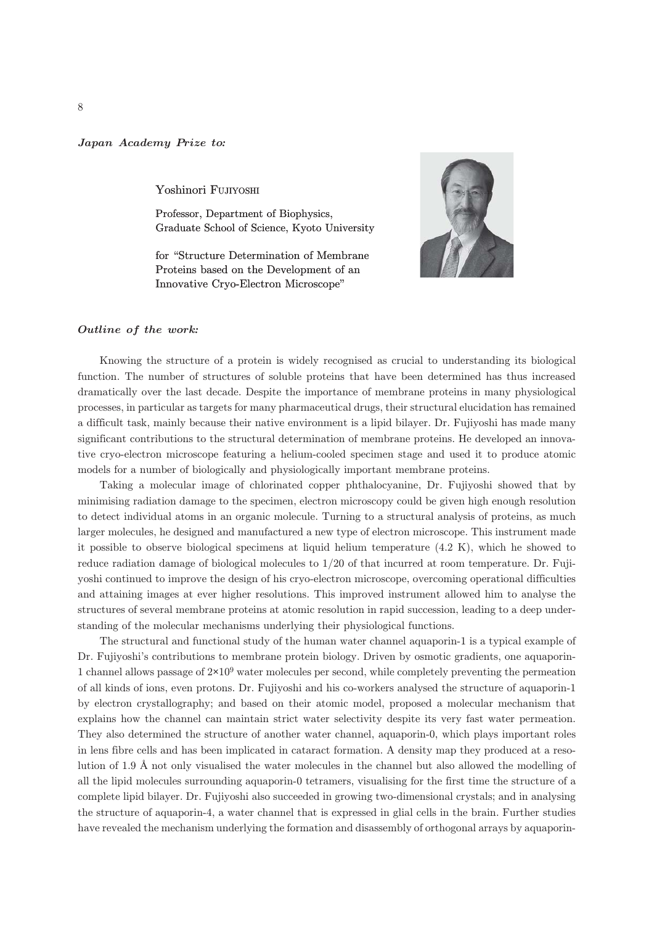## Japan Academy Prize to*:*

Yoshinori FUJIYOSHI

Professor, Department of Biophysics, Graduate School of Science, Kyoto University

for "Structure Determination of Membrane Proteins based on the Development of an Innovative Cryo-Electron Microscope"



## Outline of the work*:*

Knowing the structure of a protein is widely recognised as crucial to understanding its biological function. The number of structures of soluble proteins that have been determined has thus increased dramatically over the last decade. Despite the importance of membrane proteins in many physiological processes, in particular as targets for many pharmaceutical drugs, their structural elucidation has remained a difficult task, mainly because their native environment is a lipid bilayer. Dr. Fujiyoshi has made many significant contributions to the structural determination of membrane proteins. He developed an innovative cryo-electron microscope featuring a helium-cooled specimen stage and used it to produce atomic models for a number of biologically and physiologically important membrane proteins.

Taking a molecular image of chlorinated copper phthalocyanine, Dr. Fujiyoshi showed that by minimising radiation damage to the specimen, electron microscopy could be given high enough resolution to detect individual atoms in an organic molecule. Turning to a structural analysis of proteins, as much larger molecules, he designed and manufactured a new type of electron microscope. This instrument made it possible to observe biological specimens at liquid helium temperature (4.2 K), which he showed to reduce radiation damage of biological molecules to 1/20 of that incurred at room temperature. Dr. Fujiyoshi continued to improve the design of his cryo-electron microscope, overcoming operational difficulties and attaining images at ever higher resolutions. This improved instrument allowed him to analyse the structures of several membrane proteins at atomic resolution in rapid succession, leading to a deep understanding of the molecular mechanisms underlying their physiological functions.

The structural and functional study of the human water channel aquaporin-1 is a typical example of Dr. Fujiyoshi's contributions to membrane protein biology. Driven by osmotic gradients, one aquaporin-1 channel allows passage of 2**×**109 water molecules per second, while completely preventing the permeation of all kinds of ions, even protons. Dr. Fujiyoshi and his co-workers analysed the structure of aquaporin-1 by electron crystallography; and based on their atomic model, proposed a molecular mechanism that explains how the channel can maintain strict water selectivity despite its very fast water permeation. They also determined the structure of another water channel, aquaporin-0, which plays important roles in lens fibre cells and has been implicated in cataract formation. A density map they produced at a resolution of 1.9 Å not only visualised the water molecules in the channel but also allowed the modelling of all the lipid molecules surrounding aquaporin-0 tetramers, visualising for the first time the structure of a complete lipid bilayer. Dr. Fujiyoshi also succeeded in growing two-dimensional crystals; and in analysing the structure of aquaporin-4, a water channel that is expressed in glial cells in the brain. Further studies have revealed the mechanism underlying the formation and disassembly of orthogonal arrays by aquaporin